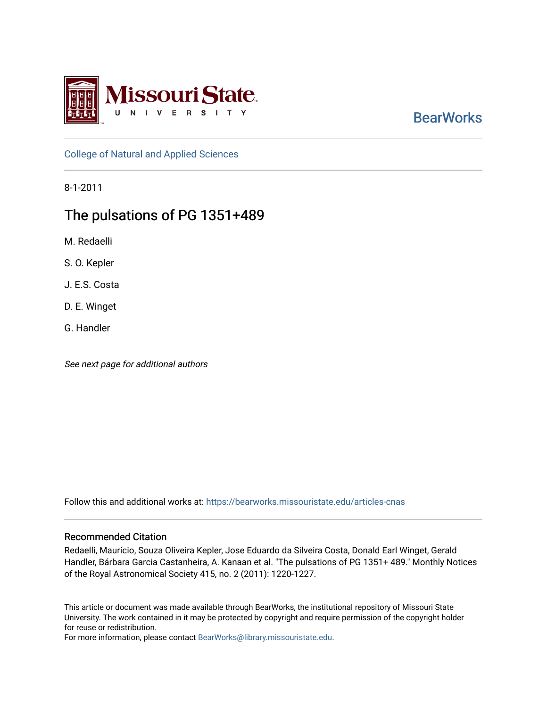

**BearWorks** 

[College of Natural and Applied Sciences](https://bearworks.missouristate.edu/articles-cnas)

8-1-2011

# The pulsations of PG 1351+489

M. Redaelli

S. O. Kepler

J. E.S. Costa

D. E. Winget

G. Handler

See next page for additional authors

Follow this and additional works at: [https://bearworks.missouristate.edu/articles-cnas](https://bearworks.missouristate.edu/articles-cnas?utm_source=bearworks.missouristate.edu%2Farticles-cnas%2F2484&utm_medium=PDF&utm_campaign=PDFCoverPages) 

## Recommended Citation

Redaelli, Maurício, Souza Oliveira Kepler, Jose Eduardo da Silveira Costa, Donald Earl Winget, Gerald Handler, Bárbara Garcia Castanheira, A. Kanaan et al. "The pulsations of PG 1351+ 489." Monthly Notices of the Royal Astronomical Society 415, no. 2 (2011): 1220-1227.

This article or document was made available through BearWorks, the institutional repository of Missouri State University. The work contained in it may be protected by copyright and require permission of the copyright holder for reuse or redistribution.

For more information, please contact [BearWorks@library.missouristate.edu.](mailto:BearWorks@library.missouristate.edu)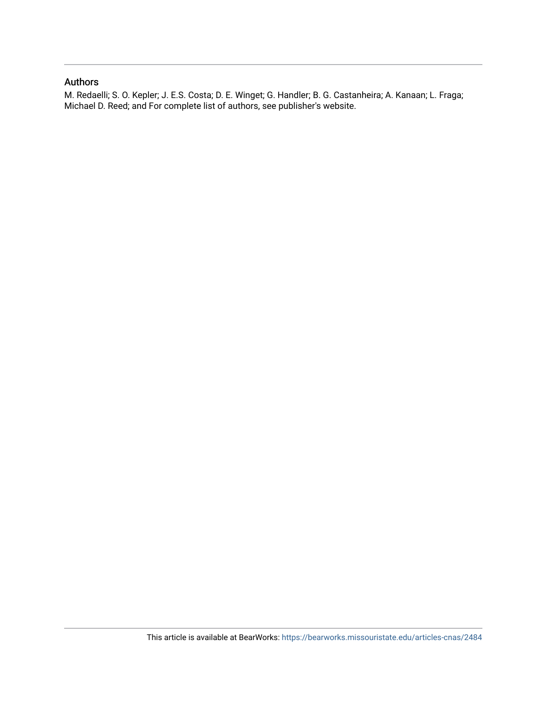## Authors

M. Redaelli; S. O. Kepler; J. E.S. Costa; D. E. Winget; G. Handler; B. G. Castanheira; A. Kanaan; L. Fraga; Michael D. Reed; and For complete list of authors, see publisher's website.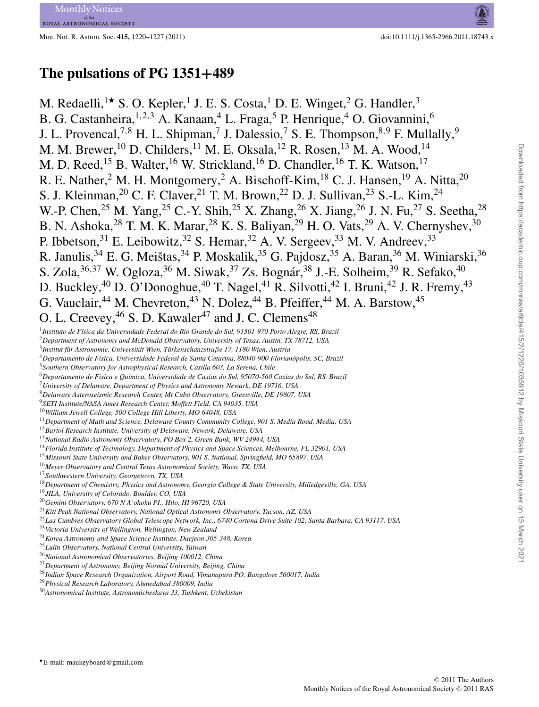## **The pulsations of PG 1351+489**

M. Redaelli,<sup>1\*</sup> S. O. Kepler,<sup>1</sup> J. E. S. Costa,<sup>1</sup> D. E. Winget,<sup>2</sup> G. Handler,<sup>3</sup> B. G. Castanheira,  $1,2,3$  A. Kanaan,  $4$  L. Fraga,  $5$  P. Henrique,  $4$  O. Giovannini,  $6$ J. L. Provencal,<sup>7,8</sup> H. L. Shipman,<sup>7</sup> J. Dalessio,<sup>7</sup> S. E. Thompson,<sup>8,9</sup> F. Mullally,<sup>9</sup> M. M. Brewer, <sup>10</sup> D. Childers, <sup>11</sup> M. E. Oksala, <sup>12</sup> R. Rosen, <sup>13</sup> M. A. Wood, <sup>14</sup> M. D. Reed,<sup>15</sup> B. Walter,<sup>16</sup> W. Strickland,<sup>16</sup> D. Chandler,<sup>16</sup> T. K. Watson,<sup>17</sup> R. E. Nather, <sup>2</sup> M. H. Montgomery, <sup>2</sup> A. Bischoff-Kim, <sup>18</sup> C. J. Hansen, <sup>19</sup> A. Nitta, <sup>20</sup> S. J. Kleinman,<sup>20</sup> C. F. Claver,<sup>21</sup> T. M. Brown,<sup>22</sup> D. J. Sullivan,<sup>23</sup> S.-L. Kim,<sup>24</sup> W.-P. Chen,<sup>25</sup> M. Yang,<sup>25</sup> C.-Y. Shih,<sup>25</sup> X. Zhang,<sup>26</sup> X. Jiang,<sup>26</sup> J. N. Fu,<sup>27</sup> S. Seetha,<sup>28</sup> B. N. Ashoka,  $^{28}$  T. M. K. Marar,  $^{28}$  K. S. Baliyan,  $^{29}$  H. O. Vats,  $^{29}$  A. V. Chernyshev,  $^{30}$ P. Ibbetson,<sup>31</sup> E. Leibowitz,<sup>32</sup> S. Hemar,<sup>32</sup> A. V. Sergeev,<sup>33</sup> M. V. Andreev,<sup>33</sup> R. Janulis,<sup>34</sup> E. G. Meištas,<sup>34</sup> P. Moskalik,<sup>35</sup> G. Pajdosz,<sup>35</sup> A. Baran,<sup>36</sup> M. Winiarski,<sup>36</sup> S. Zola,  $36,37$  W. Ogloza,  $36$  M. Siwak,  $37$  Zs. Bognár,  $38$  J.-E. Solheim,  $39$  R. Sefako,  $40$ D. Buckley,<sup>40</sup> D. O'Donoghue,<sup>40</sup> T. Nagel,<sup>41</sup> R. Silvotti,<sup>42</sup> I. Bruni,<sup>42</sup> J. R. Fremy,<sup>43</sup> G. Vauclair,  $44$  M. Chevreton,  $43$  N. Dolez,  $44$  B. Pfeiffer,  $44$  M. A. Barstow,  $45$ O. L. Creevey,  $46$  S. D. Kawaler<sup>47</sup> and J. C. Clemens<sup>48</sup> *Instituto de F´ısica da Universidade Federal do Rio Grande do Sul, 91501-970 Porto Alegre, RS, Brazil Department of Astronomy and McDonald Observatory, University of Texas, Austin, TX 78712, USA* <sup>3</sup> Institut für Astronomie, Universität Wien, Türkenschanzstraβe 17, 1180 Wien, Austria *Departamento de F´ısica, Universidade Federal de Santa Catarina, 88040-900 Florianopolis, SC, Brazil ´ Southern Observatory for Astrophysical Research, Casilla 603, La Serena, Chile Departamento de F´ısica e Qu´ımica, Universidade de Caxias do Sul, 95070-560 Caxias do Sul, RS, Brazil University of Delaware, Department of Physics and Astronomy Newark, DE 19716, USA Delaware Asteroseismic Research Center, Mt Cuba Observatory, Greenville, DE 19807, USA SETI Institute/NASA Ames Research Center, Moffett Field, CA 94035, USA William Jewell College, 500 College Hill Liberty, MO 64048, USA Department of Math and Science, Delaware County Community College, 901 S. Media Road, Media, USA Bartol Research Institute, University of Delaware, Newark, Delaware, USA National Radio Astronomy Observatory, PO Box 2, Green Bank, WV 24944, USA Florida Institute of Technology, Department of Physics and Space Sciences, Melbourne, FL 32901, USA Missouri State University and Baker Observatory, 901 S. National, Springfield, MO 65897, USA Meyer Observatory and Central Texas Astronomical Society, Waco, TX, USA Southwestern University, Georgetown, TX, USA Department of Chemistry, Physics and Astronomy, Georgia College & State University, Milledgeville, GA, USA JILA, University of Colorado, Boulder, CO, USA Gemini Observatory, 670 N A'ohoku PI., Hilo, HI 96720, USA Kitt Peak National Observatory, National Optical Astronomy Observatory, Tucson, AZ, USA Las Cumbres Observatory Global Telescope Network, Inc., 6740 Cortona Drive Suite 102, Santa Barbara, CA 93117, USA Victoria University of Wellington, Wellington, New Zealand Korea Astronomy and Space Science Institute, Daejeon 305-348, Korea Lulin Observatory, National Central University, Taiwan National Astronomical Observatories, Beijing 100012, China Department of Astronomy, Beijing Normal University, Beijing, China Indian Space Research Organization, Airport Road, Vimanapura PO, Bangalore 560017, India Physical Research Laboratory, Ahmedabad 380009, India*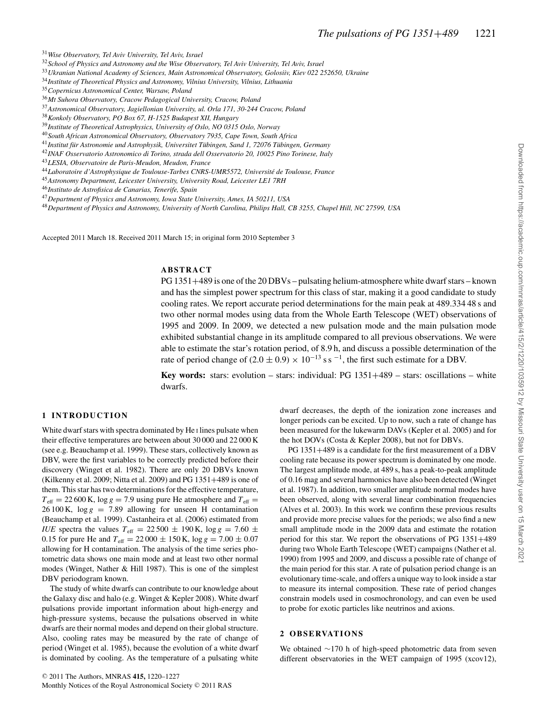<sup>31</sup>*Wise Observatory, Tel Aviv University, Tel Aviv, Israel*

<sup>32</sup>*School of Physics and Astronomy and the Wise Observatory, Tel Aviv University, Tel Aviv, Israel*

<sup>33</sup>*Ukranian National Academy of Sciences, Main Astronomical Observatory, Golosiiv, Kiev 022 252650, Ukraine*

<sup>34</sup>*Institute of Theoretical Physics and Astronomy, Vilnius University, Vilnius, Lithuania*

<sup>35</sup>*Copernicus Astronomical Center, Warsaw, Poland*

<sup>36</sup>*Mt Suhora Observatory, Cracow Pedagogical University, Cracow, Poland*

<sup>37</sup>*Astronomical Observatory, Jagiellonian University, ul. Orla 171, 30-244 Cracow, Poland*

<sup>38</sup>*Konkoly Observatory, PO Box 67, H-1525 Budapest XII, Hungary*

<sup>39</sup>*Institute of Theoretical Astrophysics, University of Oslo, NO 0315 Oslo, Norway*

<sup>40</sup>*South African Astronomical Observatory, Observatory 7935, Cape Town, South Africa*

<sup>41</sup>*Institut fur Astronomie und Astrophysik, Universitet T ¨ ubingen, Sand 1, 72076 T ¨ ubingen, Germany ¨*

<sup>42</sup>*INAF Osservatorio Astronomico di Torino, strada dell Osservatorio 20, 10025 Pino Torinese, Italy*

<sup>43</sup>*LESIA, Observatoire de Paris-Meudon, Meudon, France*

<sup>44</sup>*Laboratoire d'Astrophysique de Toulouse-Tarbes CNRS-UMR5572, Universite de Toulouse, France ´*

<sup>45</sup>*Astronomy Department, Leicester University, University Road, Leicester LE1 7RH*

<sup>46</sup>*Instituto de Astrofisica de Canarias, Tenerife, Spain*

<sup>47</sup>*Department of Physics and Astronomy, Iowa State University, Ames, IA 50211, USA*

<sup>48</sup>*Department of Physics and Astronomy, University of North Carolina, Philips Hall, CB 3255, Chapel Hill, NC 27599, USA*

Accepted 2011 March 18. Received 2011 March 15; in original form 2010 September 3

### **ABSTRACT**

PG 1351+489 is one of the 20 DBVs – pulsating helium-atmosphere white dwarf stars – known and has the simplest power spectrum for this class of star, making it a good candidate to study cooling rates. We report accurate period determinations for the main peak at 489.334 48 s and two other normal modes using data from the Whole Earth Telescope (WET) observations of 1995 and 2009. In 2009, we detected a new pulsation mode and the main pulsation mode exhibited substantial change in its amplitude compared to all previous observations. We were able to estimate the star's rotation period, of 8.9 h, and discuss a possible determination of the rate of period change of  $(2.0 \pm 0.9) \times 10^{-13}$  s s<sup>-1</sup>, the first such estimate for a DBV.

**Key words:** stars: evolution – stars: individual: PG 1351+489 – stars: oscillations – white dwarfs.

### **1 INTRODUCTION**

White dwarf stars with spectra dominated by He I lines pulsate when their effective temperatures are between about 30 000 and 22 000 K (see e.g. Beauchamp et al. 1999). These stars, collectively known as DBV, were the first variables to be correctly predicted before their discovery (Winget et al. 1982). There are only 20 DBVs known (Kilkenny et al. 2009; Nitta et al. 2009) and PG 1351+489 is one of them. This star has two determinations for the effective temperature,  $T_{\text{eff}} = 22\,600 \text{ K}$ ,  $\log g = 7.9$  using pure He atmosphere and  $T_{\text{eff}} =$  $26 100 \text{ K}$ ,  $\log g = 7.89$  allowing for unseen H contamination (Beauchamp et al. 1999). Castanheira et al. (2006) estimated from *IUE* spectra the values  $T_{\text{eff}} = 22500 \pm 190 \text{ K}$ ,  $\log g = 7.60 \pm 190 \text{ K}$ 0.15 for pure He and  $T_{\text{eff}} = 22000 \pm 150 \text{ K}$ ,  $\log g = 7.00 \pm 0.07$ allowing for H contamination. The analysis of the time series photometric data shows one main mode and at least two other normal modes (Winget, Nather & Hill 1987). This is one of the simplest DBV periodogram known.

The study of white dwarfs can contribute to our knowledge about the Galaxy disc and halo (e.g. Winget & Kepler 2008). White dwarf pulsations provide important information about high-energy and high-pressure systems, because the pulsations observed in white dwarfs are their normal modes and depend on their global structure. Also, cooling rates may be measured by the rate of change of period (Winget et al. 1985), because the evolution of a white dwarf is dominated by cooling. As the temperature of a pulsating white

dwarf decreases, the depth of the ionization zone increases and longer periods can be excited. Up to now, such a rate of change has been measured for the lukewarm DAVs (Kepler et al. 2005) and for the hot DOVs (Costa & Kepler 2008), but not for DBVs.

PG 1351+489 is a candidate for the first measurement of a DBV cooling rate because its power spectrum is dominated by one mode. The largest amplitude mode, at 489 s, has a peak-to-peak amplitude of 0.16 mag and several harmonics have also been detected (Winget et al. 1987). In addition, two smaller amplitude normal modes have been observed, along with several linear combination frequencies (Alves et al. 2003). In this work we confirm these previous results and provide more precise values for the periods; we also find a new small amplitude mode in the 2009 data and estimate the rotation period for this star. We report the observations of PG 1351+489 during two Whole Earth Telescope (WET) campaigns (Nather et al. 1990) from 1995 and 2009, and discuss a possible rate of change of the main period for this star. A rate of pulsation period change is an evolutionary time-scale, and offers a unique way to look inside a star to measure its internal composition. These rate of period changes constrain models used in cosmochronology, and can even be used to probe for exotic particles like neutrinos and axions.

## **2 OB SE RVAT IO N S**

We obtained ∼170 h of high-speed photometric data from seven different observatories in the WET campaign of 1995 (xcov12),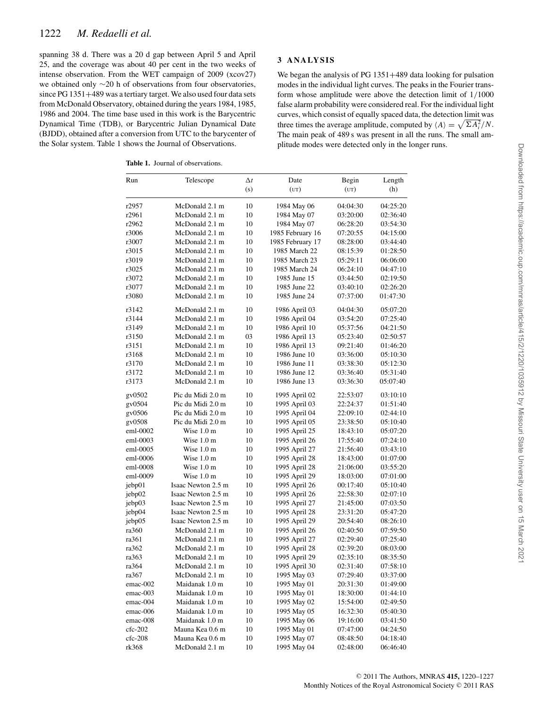## 1222 *M. Redaelli et al.*

spanning 38 d. There was a 20 d gap between April 5 and April 25, and the coverage was about 40 per cent in the two weeks of intense observation. From the WET campaign of 2009 (xcov27) we obtained only ∼20 h of observations from four observatories, since PG 1351+489 was a tertiary target. We also used four data sets from McDonald Observatory, obtained during the years 1984, 1985, 1986 and 2004. The time base used in this work is the Barycentric Dynamical Time (TDB), or Barycentric Julian Dynamical Date (BJDD), obtained after a conversion from UTC to the barycenter of the Solar system. Table 1 shows the Journal of Observations.

**Table 1.** Journal of observations.

## **3 ANALYSIS**

We began the analysis of PG 1351+489 data looking for pulsation modes in the individual light curves. The peaks in the Fourier transform whose amplitude were above the detection limit of 1/1000 false alarm probability were considered real. For the individual light curves, which consist of equally spaced data, the detection limit was three times the average amplitude, computed by  $\langle A \rangle = \sqrt{\sum A_i^2/N}$ . The main peak of 489 s was present in all the runs. The small amplitude modes were detected only in the longer runs.

| Run       | Telescope            | $\Delta t$ | Date             | Begin    | Length   |
|-----------|----------------------|------------|------------------|----------|----------|
|           |                      | (s)        | (T)              | (UT)     | (h)      |
| r2957     | McDonald 2.1 m       | 10         | 1984 May 06      | 04:04:30 | 04:25:20 |
| r2961     | McDonald 2.1 m       | 10         | 1984 May 07      | 03:20:00 | 02:36:40 |
| r2962     | McDonald 2.1 m       | 10         | 1984 May 07      | 06:28:20 | 03:54:30 |
| r3006     | McDonald 2.1 m       | 10         | 1985 February 16 | 07:20:55 | 04:15:00 |
| r3007     | McDonald 2.1 m       | 10         | 1985 February 17 | 08:28:00 | 03:44:40 |
| r3015     | McDonald 2.1 m       | 10         | 1985 March 22    | 08:15:39 | 01:28:50 |
| r3019     | McDonald 2.1 m       | 10         | 1985 March 23    | 05:29:11 | 06:06:00 |
| r3025     | McDonald 2.1 m       | 10         | 1985 March 24    | 06:24:10 | 04:47:10 |
| r3072     | McDonald 2.1 m       | 10         | 1985 June 15     | 03:44:50 | 02:19:50 |
| r3077     | McDonald 2.1 m       | 10         | 1985 June 22     | 03:40:10 | 02:26:20 |
| r3080     | McDonald 2.1 m       | 10         | 1985 June 24     | 07:37:00 | 01:47:30 |
| r3142     | McDonald 2.1 m       | 10         | 1986 April 03    | 04:04:30 | 05:07:20 |
| r3144     | McDonald 2.1 m       | 10         | 1986 April 04    | 03:54:20 | 07:25:40 |
| r3149     | McDonald 2.1 m       | 10         | 1986 April 10    | 05:37:56 | 04:21:50 |
| r3150     | McDonald 2.1 m       | 03         | 1986 April 13    | 05:23:40 | 02:50:57 |
| r3151     | McDonald 2.1 m       | 10         | 1986 April 13    | 09:21:40 | 01:46:20 |
| r3168     | McDonald 2.1 m       | 10         | 1986 June 10     | 03:36:00 | 05:10:30 |
| r3170     | McDonald 2.1 m       | 10         | 1986 June 11     | 03:38:30 | 05:12:30 |
| r3172     | McDonald 2.1 m       | 10         | 1986 June 12     | 03:36:40 | 05:31:40 |
| r3173     | McDonald 2.1 m       | 10         | 1986 June 13     | 03:36:30 | 05:07:40 |
| gv0502    | Pic du Midi 2.0 m    | 10         | 1995 April 02    | 22:53:07 | 03:10:10 |
| gv0504    | Pic du Midi 2.0 m    | 10         | 1995 April 03    | 22:24:37 | 01:51:40 |
| gv0506    | Pic du Midi 2.0 m    | 10         | 1995 April 04    | 22:09:10 | 02:44:10 |
| gv0508    | Pic du Midi 2.0 m    | 10         | 1995 April 05    | 23:38:50 | 05:10:40 |
| eml-0002  | Wise 1.0 m           | 10         | 1995 April 25    | 18:43:10 | 05:07:20 |
| eml-0003  | Wise $1.0 \text{ m}$ | 10         | 1995 April 26    | 17:55:40 | 07:24:10 |
| eml-0005  | Wise $1.0 \text{ m}$ | 10         | 1995 April 27    | 21:56:40 | 03:43:10 |
| eml-0006  | Wise $1.0 \text{ m}$ | 10         | 1995 April 28    | 18:43:00 | 01:07:00 |
| eml-0008  | Wise $1.0 \text{ m}$ | 10         | 1995 April 28    | 21:06:00 | 03:55:20 |
| eml-0009  | Wise $1.0 \text{ m}$ | 10         | 1995 April 29    | 18:03:00 | 07:01:00 |
| jebp01    | Isaac Newton 2.5 m   | 10         | 1995 April 26    | 00:17:40 | 05:10:40 |
| jebp02    | Isaac Newton 2.5 m   | 10         | 1995 April 26    | 22:58:30 | 02:07:10 |
| jebp03    | Isaac Newton 2.5 m   | 10         | 1995 April 27    | 21:45:00 | 07:03:50 |
| jebp04    | Isaac Newton 2.5 m   | 10         | 1995 April 28    | 23:31:20 | 05:47:20 |
| jebp05    | Isaac Newton 2.5 m   | 10         | 1995 April 29    | 20:54:40 | 08:26:10 |
| ra360     | McDonald 2.1 m       | 10         | 1995 April 26    | 02:40:50 | 07:59:50 |
| ra361     | McDonald 2.1 m       | 10         | 1995 April 27    | 02:29:40 | 07:25:40 |
| ra362     | McDonald 2.1 m       | 10         | 1995 April 28    | 02:39:20 | 08:03:00 |
| ra363     | McDonald 2.1 m       | 10         | 1995 April 29    | 02:35:10 | 08:35:50 |
| ra364     | McDonald 2.1 m       | 10         | 1995 April 30    | 02:31:40 | 07:58:10 |
| ra367     | McDonald 2.1 m       | 10         | 1995 May 03      | 07:29:40 | 03:37:00 |
| emac-002  | Maidanak 1.0 m       | 10         | 1995 May 01      | 20:31:30 | 01:49:00 |
| emac-003  | Maidanak 1.0 m       | 10         | 1995 May 01      | 18:30:00 | 01:44:10 |
| emac-004  | Maidanak 1.0 m       | 10         | 1995 May 02      | 15:54:00 | 02:49:50 |
| emac-006  | Maidanak 1.0 m       | 10         | 1995 May 05      | 16:32:30 | 05:40:30 |
| emac-008  | Maidanak 1.0 m       | 10         | 1995 May 06      | 19:16:00 | 03:41:50 |
| $cfc-202$ | Mauna Kea 0.6 m      | 10         | 1995 May 01      | 07:47:00 | 04:24:50 |
| $cfc-208$ | Mauna Kea 0.6 m      | 10         | 1995 May 07      | 08:48:50 | 04:18:40 |
| rk368     | McDonald 2.1 m       | 10         | 1995 May 04      | 02:48:00 | 06:46:40 |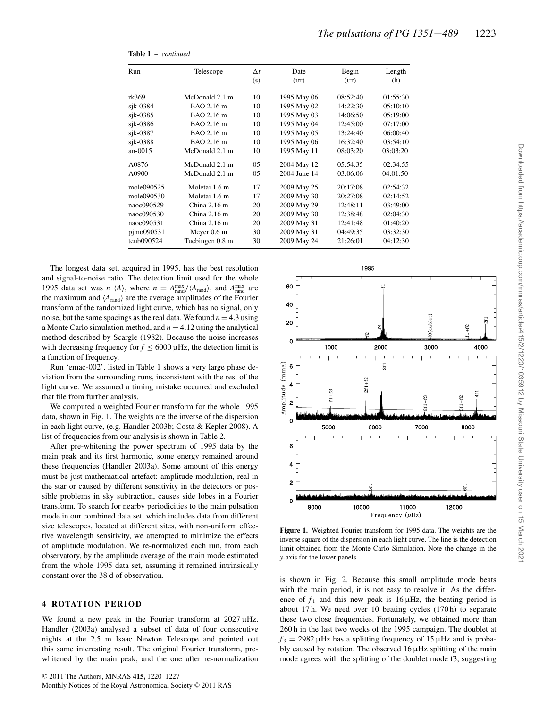| Run        | Telescope              | $\Delta t$ | Date         | Begin    | Length   |
|------------|------------------------|------------|--------------|----------|----------|
|            |                        | (s)        | (T)          | (UT)     | (h)      |
| rk369      | McDonald 2.1 m         | 10         | 1995 May 06  | 08:52:40 | 01:55:30 |
| $sjk-0384$ | BAO 2.16 m             | 10         | 1995 May 02  | 14:22:30 | 05:10:10 |
| $sjk-0385$ | BAO 2.16 m             | 10         | 1995 May 03  | 14:06:50 | 05:19:00 |
| sjk-0386   | BAO 2.16 m             | 10         | 1995 May 04  | 12:45:00 | 07:17:00 |
| $sjk-0387$ | BAO 2.16 m             | 10         | 1995 May 05  | 13:24:40 | 06:00:40 |
| $sjk-0388$ | BAO 2.16 m             | 10         | 1995 May 06  | 16:32:40 | 03:54:10 |
| $an-0015$  | McDonald 2.1 m         | 10         | 1995 May 11  | 08:03:20 | 03:03:20 |
| A0876      | McDonald 2.1 m         | 05         | 2004 May 12  | 05:54:35 | 02:34:55 |
| A0900      | McDonald 2.1 m         | 05         | 2004 June 14 | 03:06:06 | 04:01:50 |
| mole090525 | Moletai 1.6 m          | 17         | 2009 May 25  | 20:17:08 | 02:54:32 |
| mole090530 | Moletai 1.6 m          | 17         | 2009 May 30  | 20:27:08 | 02:14:52 |
| naoc090529 | China $2.16 \text{ m}$ | 20         | 2009 May 29  | 12:48:11 | 03:49:00 |
| naoc090530 | China $2.16 \text{ m}$ | 20         | 2009 May 30  | 12:38:48 | 02:04:30 |
| naoc090531 | China $2.16 \text{ m}$ | 20         | 2009 May 31  | 12:41:48 | 01:40:20 |
| pjmo090531 | Meyer 0.6 m            | 30         | 2009 May 31  | 04:49:35 | 03:32:30 |
| teub090524 | Tuebingen 0.8 m        | 30         | 2009 May 24  | 21:26:01 | 04:12:30 |

**Table 1** – *continued*

The longest data set, acquired in 1995, has the best resolution and signal-to-noise ratio. The detection limit used for the whole 1995 data set was *n*  $\langle A \rangle$ , where  $n = A_{\text{rand}}^{\text{max}} / \langle A_{\text{rand}} \rangle$ , and  $A_{\text{rand}}^{\text{max}}$  are the maximum and  $\langle A_{\text{rand}}\rangle$  are the average amplitudes of the Fourier transform of the randomized light curve, which has no signal, only noise, but the same spacings as the real data. We found  $n = 4.3$  using a Monte Carlo simulation method, and  $n = 4.12$  using the analytical method described by Scargle (1982). Because the noise increases with decreasing frequency for  $f \leq 6000 \mu$ Hz, the detection limit is a function of frequency.

Run 'emac-002', listed in Table 1 shows a very large phase deviation from the surrounding runs, inconsistent with the rest of the light curve. We assumed a timing mistake occurred and excluded that file from further analysis.

We computed a weighted Fourier transform for the whole 1995 data, shown in Fig. 1. The weights are the inverse of the dispersion in each light curve, (e.g. Handler 2003b; Costa & Kepler 2008). A list of frequencies from our analysis is shown in Table 2.

After pre-whitening the power spectrum of 1995 data by the main peak and its first harmonic, some energy remained around these frequencies (Handler 2003a). Some amount of this energy must be just mathematical artefact: amplitude modulation, real in the star or caused by different sensitivity in the detectors or possible problems in sky subtraction, causes side lobes in a Fourier transform. To search for nearby periodicities to the main pulsation mode in our combined data set, which includes data from different size telescopes, located at different sites, with non-uniform effective wavelength sensitivity, we attempted to minimize the effects of amplitude modulation. We re-normalized each run, from each observatory, by the amplitude average of the main mode estimated from the whole 1995 data set, assuming it remained intrinsically constant over the 38 d of observation.

#### **4 ROTATION PERIOD**

We found a new peak in the Fourier transform at  $2027 \mu$ Hz. Handler (2003a) analysed a subset of data of four consecutive nights at the 2.5 m Isaac Newton Telescope and pointed out this same interesting result. The original Fourier transform, prewhitened by the main peak, and the one after re-normalization



**Figure 1.** Weighted Fourier transform for 1995 data. The weights are the inverse square of the dispersion in each light curve. The line is the detection limit obtained from the Monte Carlo Simulation. Note the change in the *y*-axis for the lower panels.

is shown in Fig. 2. Because this small amplitude mode beats with the main period, it is not easy to resolve it. As the difference of  $f_1$  and this new peak is 16  $\mu$ Hz, the beating period is about 17 h. We need over 10 beating cycles (170 h) to separate these two close frequencies. Fortunately, we obtained more than 260 h in the last two weeks of the 1995 campaign. The doublet at  $f_3 = 2982 \,\mu$ Hz has a splitting frequency of 15  $\mu$ Hz and is probably caused by rotation. The observed  $16 \mu$ Hz splitting of the main mode agrees with the splitting of the doublet mode f3, suggesting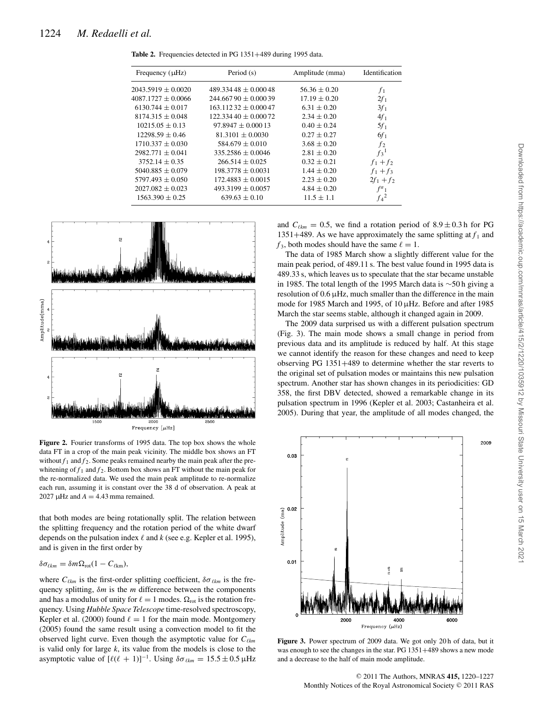| Frequency $(\mu Hz)$   | Period (s)              | Amplitude (mma)  | Identification |
|------------------------|-------------------------|------------------|----------------|
| $2043.5919 \pm 0.0020$ | $489.33448 + 0.00048$   | $56.36 \pm 0.20$ | $f_1$          |
| $4087.1727 + 0.0066$   | $244.66790 + 0.00039$   | $17.19 \pm 0.20$ | $2f_1$         |
| $6130.744 + 0.017$     | $163.11232 \pm 0.00047$ | $6.31 \pm 0.20$  | $3f_1$         |
| $8174.315 + 0.048$     | $122.33440 + 0.00072$   | $2.34 \pm 0.20$  | $4f_1$         |
| $10215.05 + 0.13$      | $97.8947 + 0.00013$     | $0.40 \pm 0.24$  | $5f_1$         |
| $12298.59 + 0.46$      | $81.3101 \pm 0.0030$    | $0.27 \pm 0.27$  | $6f_1$         |
| $1710.337 \pm 0.030$   | $584.679 + 0.010$       | $3.68 \pm 0.20$  | f <sub>2</sub> |
| $2982.771 \pm 0.041$   | $335.2586 + 0.0046$     | $2.81 \pm 0.20$  | $f_3^1$        |
| $3752.14 + 0.35$       | $266.514 + 0.025$       | $0.32 \pm 0.21$  | $f_1 + f_2$    |
| $5040.885 \pm 0.079$   | $198.3778 + 0.0031$     | $1.44 \pm 0.20$  | $f_1 + f_3$    |
| $5797.493 + 0.050$     | $172.4883 + 0.0015$     | $2.23 \pm 0.20$  | $2f_1 + f_2$   |
| $2027.082 \pm 0.023$   | $493.3199 \pm 0.0057$   | $4.84 \pm 0.20$  | $f^a$          |
| $1563.390 \pm 0.25$    | $639.63 \pm 0.10$       | $11.5 \pm 1.1$   | $f_4^2$        |

Table 2. Frequencies detected in PG 1351+489 during 1995 data.



**Figure 2.** Fourier transforms of 1995 data. The top box shows the whole data FT in a crop of the main peak vicinity. The middle box shows an FT without  $f_1$  and  $f_2$ . Some peaks remained nearby the main peak after the prewhitening of  $f_1$  and  $f_2$ . Bottom box shows an FT without the main peak for the re-normalized data. We used the main peak amplitude to re-normalize each run, assuming it is constant over the 38 d of observation. A peak at 2027  $\mu$ Hz and  $A = 4.43$  mma remained.

that both modes are being rotationally split. The relation between the splitting frequency and the rotation period of the white dwarf depends on the pulsation index  $\ell$  and  $k$  (see e.g. Kepler et al. 1995), and is given in the first order by

$$
\delta \sigma_{\ell km} = \delta m \Omega_{\rm rot} (1 - C_{\ell km}),
$$

where  $C_{\ell km}$  is the first-order splitting coefficient,  $\delta \sigma_{\ell km}$  is the frequency splitting, δ*m* is the *m* difference between the components and has a modulus of unity for  $\ell = 1$  modes.  $\Omega_{\rm rot}$  is the rotation frequency. Using *Hubble Space Telescope* time-resolved spectroscopy, Kepler et al. (2000) found  $\ell = 1$  for the main mode. Montgomery (2005) found the same result using a convection model to fit the observed light curve. Even though the asymptotic value for *Ckm* is valid only for large *k*, its value from the models is close to the asymptotic value of  $[\ell(\ell + 1)]^{-1}$ . Using  $\delta \sigma_{\ell km} = 15.5 \pm 0.5 \,\mu \text{Hz}$ 

and  $C_{\ell km} = 0.5$ , we find a rotation period of  $8.9 \pm 0.3$  h for PG 1351+489. As we have approximately the same splitting at  $f_1$  and  $f_3$ , both modes should have the same  $\ell = 1$ .

The data of 1985 March show a slightly different value for the main peak period, of 489.11 s. The best value found in 1995 data is 489.33 s, which leaves us to speculate that the star became unstable in 1985. The total length of the 1995 March data is ∼50 h giving a resolution of  $0.6 \mu$ Hz, much smaller than the difference in the main mode for 1985 March and 1995, of 10 µHz. Before and after 1985 March the star seems stable, although it changed again in 2009.

The 2009 data surprised us with a different pulsation spectrum (Fig. 3). The main mode shows a small change in period from previous data and its amplitude is reduced by half. At this stage we cannot identify the reason for these changes and need to keep observing PG 1351+489 to determine whether the star reverts to the original set of pulsation modes or maintains this new pulsation spectrum. Another star has shown changes in its periodicities: GD 358, the first DBV detected, showed a remarkable change in its pulsation spectrum in 1996 (Kepler et al. 2003; Castanheira et al. 2005). During that year, the amplitude of all modes changed, the



Figure 3. Power spectrum of 2009 data. We got only 20 h of data, but it was enough to see the changes in the star. PG 1351+489 shows a new mode and a decrease to the half of main mode amplitude.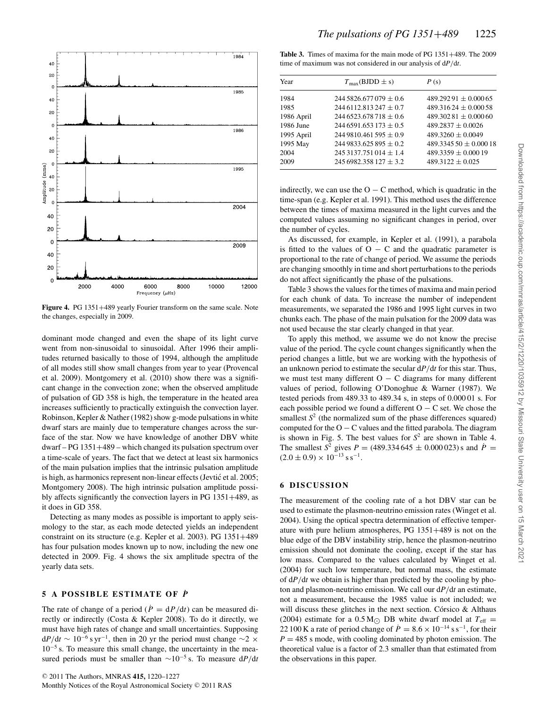

Figure 4. PG 1351+489 yearly Fourier transform on the same scale. Note the changes, especially in 2009.

dominant mode changed and even the shape of its light curve went from non-sinusoidal to sinusoidal. After 1996 their amplitudes returned basically to those of 1994, although the amplitude of all modes still show small changes from year to year (Provencal et al. 2009). Montgomery et al. (2010) show there was a significant change in the convection zone; when the observed amplitude of pulsation of GD 358 is high, the temperature in the heated area increases sufficiently to practically extinguish the convection layer. Robinson, Kepler & Nather (1982) show g-mode pulsations in white dwarf stars are mainly due to temperature changes across the surface of the star. Now we have knowledge of another DBV white dwarf – PG 1351+489 – which changed its pulsation spectrum over a time-scale of years. The fact that we detect at least six harmonics of the main pulsation implies that the intrinsic pulsation amplitude is high, as harmonics represent non-linear effects (Jevtić et al. 2005; Montgomery 2008). The high intrinsic pulsation amplitude possibly affects significantly the convection layers in PG 1351+489, as it does in GD 358.

Detecting as many modes as possible is important to apply seismology to the star, as each mode detected yields an independent constraint on its structure (e.g. Kepler et al. 2003). PG 1351+489 has four pulsation modes known up to now, including the new one detected in 2009. Fig. 4 shows the six amplitude spectra of the yearly data sets.

#### **5 A POSSIBLE ESTIMATE OF** *P***˙**

The rate of change of a period ( $\dot{P} = dP/dt$ ) can be measured directly or indirectly (Costa & Kepler 2008). To do it directly, we must have high rates of change and small uncertainties. Supposing  $dP/dt \sim 10^{-6}$  s yr<sup>-1</sup>, then in 20 yr the period must change  $\sim$ 2 × 10−<sup>5</sup> s. To measure this small change, the uncertainty in the measured periods must be smaller than ∼10−<sup>5</sup> s. To measure d*P*/d*t*

Table 3. Times of maxima for the main mode of PG 1351+489. The 2009 time of maximum was not considered in our analysis of d*P*/d*t*.

| Year       | $T_{\text{max}}(BJDD \pm s)$ | P(s)                       |
|------------|------------------------------|----------------------------|
| 1984       | $2445826.677079 \pm 0.6$     | $489.29291 \pm 0.00065$    |
| 1985       | $2446112.813247 \pm 0.7$     | $489.31624 \pm 0.00058$    |
| 1986 April | $2446523.678718 \pm 0.6$     | $489.30281 \pm 0.00060$    |
| 1986 June  | $2446591.653173 \pm 0.5$     | $489.2837 \pm 0.0026$      |
| 1995 April | $2449810.461595 \pm 0.9$     | $489.3260 \pm 0.0049$      |
| 1995 May   | $2449833.625895 \pm 0.2$     | 489.3345 50 $\pm$ 0.000 18 |
| 2004       | $2453137.751014 \pm 1.4$     | $489.3359 \pm 0.00019$     |
| 2009       | $2456982.358127 + 3.2$       | $489.3122 \pm 0.025$       |

indirectly, we can use the  $O - C$  method, which is quadratic in the time-span (e.g. Kepler et al. 1991). This method uses the difference between the times of maxima measured in the light curves and the computed values assuming no significant changes in period, over the number of cycles.

As discussed, for example, in Kepler et al. (1991), a parabola is fitted to the values of  $O - C$  and the quadratic parameter is proportional to the rate of change of period. We assume the periods are changing smoothly in time and short perturbations to the periods do not affect significantly the phase of the pulsations.

Table 3 shows the values for the times of maxima and main period for each chunk of data. To increase the number of independent measurements, we separated the 1986 and 1995 light curves in two chunks each. The phase of the main pulsation for the 2009 data was not used because the star clearly changed in that year.

To apply this method, we assume we do not know the precise value of the period. The cycle count changes significantly when the period changes a little, but we are working with the hypothesis of an unknown period to estimate the secular d*P*/d*t* for this star. Thus, we must test many different  $O - C$  diagrams for many different values of period, following O'Donoghue & Warner (1987). We tested periods from 489.33 to 489.34 s, in steps of 0.000 01 s. For each possible period we found a different  $O - C$  set. We chose the smallest  $S<sup>2</sup>$  (the normalized sum of the phase differences squared) computed for the  $O - C$  values and the fitted parabola. The diagram is shown in Fig. 5. The best values for  $S^2$  are shown in Table 4. The smallest  $S^2$  gives  $P = (489.334645 \pm 0.000023)$  s and  $\dot{P} =$  $(2.0 \pm 0.9) \times 10^{-13}$  s s<sup>-1</sup>.

## **6 DISCUSSION**

The measurement of the cooling rate of a hot DBV star can be used to estimate the plasmon-neutrino emission rates (Winget et al. 2004). Using the optical spectra determination of effective temperature with pure helium atmospheres, PG 1351+489 is not on the blue edge of the DBV instability strip, hence the plasmon-neutrino emission should not dominate the cooling, except if the star has low mass. Compared to the values calculated by Winget et al. (2004) for such low temperature, but normal mass, the estimate of  $dP/dt$  we obtain is higher than predicted by the cooling by photon and plasmon-neutrino emission. We call our d*P*/d*t* an estimate, not a measurement, because the 1985 value is not included; we will discuss these glitches in the next section. Córsico  $\&$  Althaus (2004) estimate for a 0.5 M<sub> $\odot$ </sub> DB white dwarf model at  $T_{\text{eff}}$  = 22 100 K a rate of period change of  $\dot{P} = 8.6 \times 10^{-14}$  s s<sup>-1</sup>, for their  $P = 485$  s mode, with cooling dominated by photon emission. The theoretical value is a factor of 2.3 smaller than that estimated from the observations in this paper.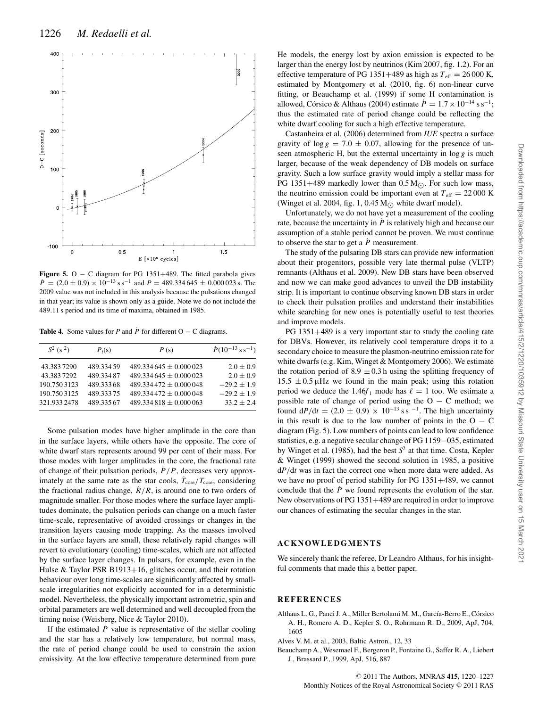

**Figure 5.** O  $-$  C diagram for PG 1351+489. The fitted parabola gives  $\dot{P} = (2.0 \pm 0.9) \times 10^{-13}$  s s<sup>-1</sup> and  $P = 489.334645 \pm 0.000023$  s. The 2009 value was not included in this analysis because the pulsations changed in that year; its value is shown only as a guide. Note we do not include the 489.11 s period and its time of maxima, obtained in 1985.

**Table 4.** Some values for *P* and  $\dot{P}$  for different O − C diagrams.

| $S^2$ (s <sup>2</sup> ) | $P_i(s)$   | P(s)                      | $\dot{P}(10^{-13} \text{ s s}^{-1})$ |
|-------------------------|------------|---------------------------|--------------------------------------|
| 43.383.7290             | 489.334.59 | $489.334645 \pm 0.000023$ | $2.0 \pm 0.9$                        |
| 43.383.7292             | 489.33487  | $489.334645 \pm 0.000023$ | $2.0 \pm 0.9$                        |
| 190.7503123             | 489.333.68 | $489.334472 \pm 0.000048$ | $-29.2 + 1.9$                        |
| 190.7503125             | 489.333.75 | $489.334472 \pm 0.000048$ | $-29.2 + 1.9$                        |
| 321.933 2478            | 489.33567  | $489.334818 \pm 0.000063$ | $33.2 \pm 2.4$                       |

Some pulsation modes have higher amplitude in the core than in the surface layers, while others have the opposite. The core of white dwarf stars represents around 99 per cent of their mass. For those modes with larger amplitudes in the core, the fractional rate of change of their pulsation periods,  $\dot{P}/P$ , decreases very approximately at the same rate as the star cools,  $\dot{T}_{\text{core}}/T_{\text{core}}$ , considering the fractional radius change,  $\dot{R}/R$ , is around one to two orders of magnitude smaller. For those modes where the surface layer amplitudes dominate, the pulsation periods can change on a much faster time-scale, representative of avoided crossings or changes in the transition layers causing mode trapping. As the masses involved in the surface layers are small, these relatively rapid changes will revert to evolutionary (cooling) time-scales, which are not affected by the surface layer changes. In pulsars, for example, even in the Hulse & Taylor PSR B1913+16, glitches occur, and their rotation behaviour over long time-scales are significantly affected by smallscale irregularities not explicitly accounted for in a deterministic model. Nevertheless, the physically important astrometric, spin and orbital parameters are well determined and well decoupled from the timing noise (Weisberg, Nice & Taylor 2010).

If the estimated  $\dot{P}$  value is representative of the stellar cooling and the star has a relatively low temperature, but normal mass, the rate of period change could be used to constrain the axion emissivity. At the low effective temperature determined from pure

He models, the energy lost by axion emission is expected to be larger than the energy lost by neutrinos (Kim 2007, fig. 1.2). For an effective temperature of PG 1351+489 as high as  $T_{\text{eff}} = 26000 \text{ K}$ , estimated by Montgomery et al. (2010, fig. 6) non-linear curve fitting, or Beauchamp et al. (1999) if some H contamination is allowed, Córsico & Althaus (2004) estimate  $\dot{P} = 1.7 \times 10^{-14}$  s s<sup>-1</sup>; thus the estimated rate of period change could be reflecting the white dwarf cooling for such a high effective temperature.

Castanheira et al. (2006) determined from *IUE* spectra a surface gravity of  $\log g = 7.0 \pm 0.07$ , allowing for the presence of unseen atmospheric H, but the external uncertainty in log *g* is much larger, because of the weak dependency of DB models on surface gravity. Such a low surface gravity would imply a stellar mass for PG 1351+489 markedly lower than  $0.5 M_{\odot}$ . For such low mass, the neutrino emission could be important even at  $T_{\text{eff}} = 22000 \text{ K}$ (Winget et al. 2004, fig. 1, 0.45  $M_{\odot}$  white dwarf model).

Unfortunately, we do not have yet a measurement of the cooling rate, because the uncertainty in  $\dot{P}$  is relatively high and because our assumption of a stable period cannot be proven. We must continue to observe the star to get a  $\dot{P}$  measurement.

The study of the pulsating DB stars can provide new information about their progenitors, possible very late thermal pulse (VLTP) remnants (Althaus et al. 2009). New DB stars have been observed and now we can make good advances to unveil the DB instability strip. It is important to continue observing known DB stars in order to check their pulsation profiles and understand their instabilities while searching for new ones is potentially useful to test theories and improve models.

PG 1351+489 is a very important star to study the cooling rate for DBVs. However, its relatively cool temperature drops it to a secondary choice to measure the plasmon-neutrino emission rate for white dwarfs (e.g. Kim, Winget & Montgomery 2006). We estimate the rotation period of 8.9  $\pm$  0.3 h using the splitting frequency of 15.5  $\pm$  0.5  $\mu$ Hz we found in the main peak; using this rotation period we deduce the 1.46 $f_1$  mode has  $\ell = 1$  too. We estimate a possible rate of change of period using the  $O - C$  method; we found  $dP/dt = (2.0 \pm 0.9) \times 10^{-13}$  s s<sup>-1</sup>. The high uncertainty in this result is due to the low number of points in the  $O - C$ diagram (Fig. 5). Low numbers of points can lead to low confidence statistics, e.g. a negative secular change of PG 1159−035, estimated by Winget et al. (1985), had the best *S*<sup>2</sup> at that time. Costa, Kepler & Winget (1999) showed the second solution in 1985, a positive d*P*/d*t* was in fact the correct one when more data were added. As we have no proof of period stability for PG 1351+489, we cannot conclude that the  $\dot{P}$  we found represents the evolution of the star. New observations of PG 1351+489 are required in order to improve our chances of estimating the secular changes in the star.

## **ACKNOWLEDGMENTS**

We sincerely thank the referee, Dr Leandro Althaus, for his insightful comments that made this a better paper.

## **REFERENCES**

- Althaus L. G., Panei J. A., Miller Bertolami M. M., García-Berro E., Córsico A. H., Romero A. D., Kepler S. O., Rohrmann R. D., 2009, ApJ, 704, 1605
- Alves V. M. et al., 2003, Baltic Astron., 12, 33
- Beauchamp A., Wesemael F., Bergeron P., Fontaine G., Saffer R. A., Liebert J., Brassard P., 1999, ApJ, 516, 887